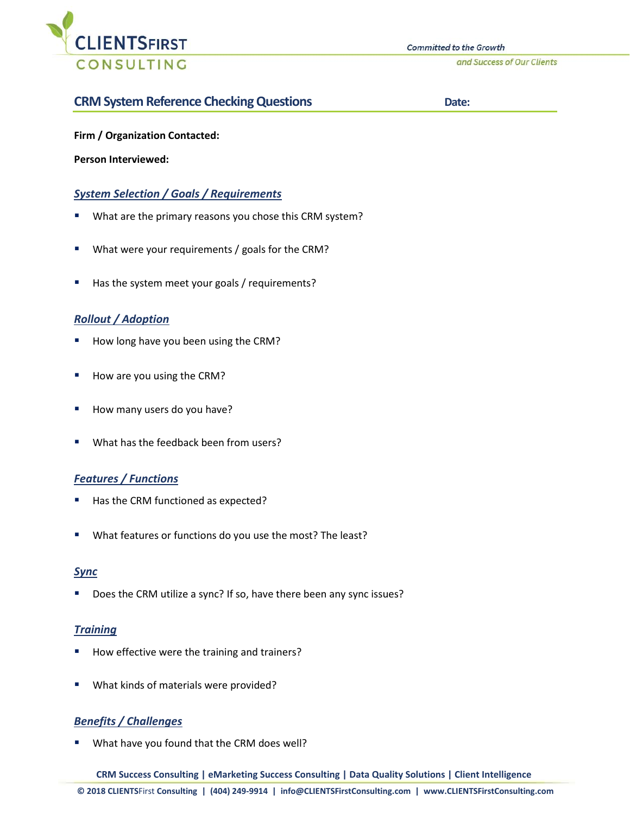

and Success of Our Clients

# **CRM System Reference Checking Questions Date: Date:**

**Firm / Organization Contacted:** 

**Person Interviewed:**

## *System Selection / Goals / Requirements*

- What are the primary reasons you chose this CRM system?
- What were your requirements / goals for the CRM?
- Has the system meet your goals / requirements?

### *Rollout / Adoption*

- How long have you been using the CRM?
- How are you using the CRM?
- How many users do you have?
- What has the feedback been from users?

#### *Features / Functions*

- Has the CRM functioned as expected?
- What features or functions do you use the most? The least?

#### *Sync*

Does the CRM utilize a sync? If so, have there been any sync issues?

#### *Training*

- How effective were the training and trainers?
- What kinds of materials were provided?

### *Benefits / Challenges*

What have you found that the CRM does well?

**CRM Success Consulting | eMarketing Success Consulting | Data Quality Solutions | Client Intelligence**